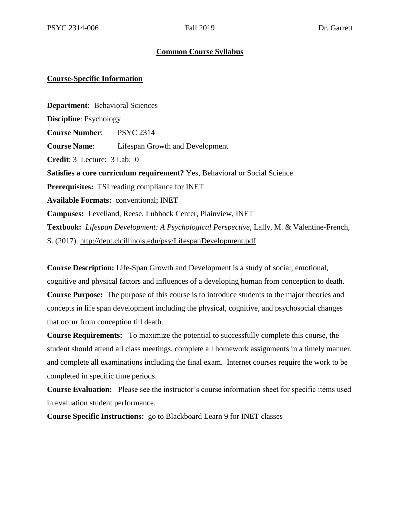### **Common Course Syllabus**

#### **Course-Specific Information**

**Department**: Behavioral Sciences **Discipline**: Psychology **Course Number**: PSYC 2314 **Course Name**: Lifespan Growth and Development **Credit**: 3 Lecture: 3 Lab: 0 **Satisfies a core curriculum requirement?** Yes, Behavioral or Social Science **Prerequisites:** TSI reading compliance for INET **Available Formats:** conventional; INET **Campuses:** Levelland, Reese, Lubbock Center, Plainview, INET **Textbook:** *Lifespan Development: A Psychological Perspective,* Lally, M. & Valentine-French, S. (2017).<http://dept.clcillinois.edu/psy/LifespanDevelopment.pdf>

**Course Description:** Life-Span Growth and Development is a study of social, emotional, cognitive and physical factors and influences of a developing human from conception to death. **Course Purpose:** The purpose of this course is to introduce students to the major theories and concepts in life span development including the physical, cognitive, and psychosocial changes that occur from conception till death.

**Course Requirements:** To maximize the potential to successfully complete this course, the student should attend all class meetings, complete all homework assignments in a timely manner, and complete all examinations including the final exam. Internet courses require the work to be completed in specific time periods.

**Course Evaluation:** Please see the instructor's course information sheet for specific items used in evaluation student performance.

**Course Specific Instructions:** go to Blackboard Learn 9 for INET classes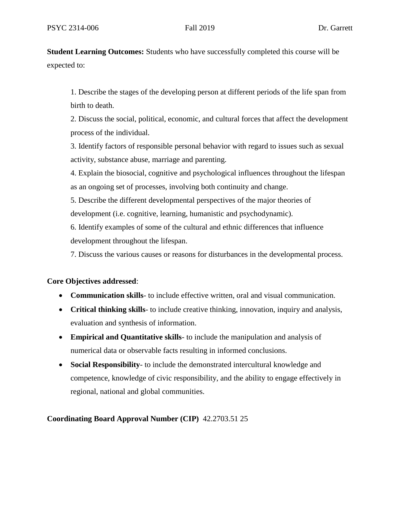**Student Learning Outcomes:** Students who have successfully completed this course will be expected to:

1. Describe the stages of the developing person at different periods of the life span from birth to death.

2. Discuss the social, political, economic, and cultural forces that affect the development process of the individual.

3. Identify factors of responsible personal behavior with regard to issues such as sexual activity, substance abuse, marriage and parenting.

4. Explain the biosocial, cognitive and psychological influences throughout the lifespan as an ongoing set of processes, involving both continuity and change.

5. Describe the different developmental perspectives of the major theories of development (i.e. cognitive, learning, humanistic and psychodynamic).

6. Identify examples of some of the cultural and ethnic differences that influence development throughout the lifespan.

7. Discuss the various causes or reasons for disturbances in the developmental process.

### **Core Objectives addressed**:

- **Communication skills** to include effective written, oral and visual communication.
- **Critical thinking skills** to include creative thinking, innovation, inquiry and analysis, evaluation and synthesis of information.
- **Empirical and Quantitative skills** to include the manipulation and analysis of numerical data or observable facts resulting in informed conclusions.
- **Social Responsibility** to include the demonstrated intercultural knowledge and competence, knowledge of civic responsibility, and the ability to engage effectively in regional, national and global communities.

**Coordinating Board Approval Number (CIP)** 42.2703.51 25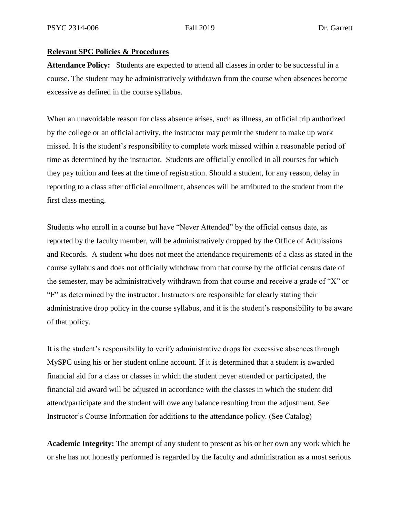#### **Relevant SPC Policies & Procedures**

**Attendance Policy:** Students are expected to attend all classes in order to be successful in a course. The student may be administratively withdrawn from the course when absences become excessive as defined in the course syllabus.

When an unavoidable reason for class absence arises, such as illness, an official trip authorized by the college or an official activity, the instructor may permit the student to make up work missed. It is the student's responsibility to complete work missed within a reasonable period of time as determined by the instructor. Students are officially enrolled in all courses for which they pay tuition and fees at the time of registration. Should a student, for any reason, delay in reporting to a class after official enrollment, absences will be attributed to the student from the first class meeting.

Students who enroll in a course but have "Never Attended" by the official census date, as reported by the faculty member, will be administratively dropped by the Office of Admissions and Records. A student who does not meet the attendance requirements of a class as stated in the course syllabus and does not officially withdraw from that course by the official census date of the semester, may be administratively withdrawn from that course and receive a grade of "X" or "F" as determined by the instructor. Instructors are responsible for clearly stating their administrative drop policy in the course syllabus, and it is the student's responsibility to be aware of that policy.

It is the student's responsibility to verify administrative drops for excessive absences through MySPC using his or her student online account. If it is determined that a student is awarded financial aid for a class or classes in which the student never attended or participated, the financial aid award will be adjusted in accordance with the classes in which the student did attend/participate and the student will owe any balance resulting from the adjustment. See Instructor's Course Information for additions to the attendance policy. (See Catalog)

**Academic Integrity:** The attempt of any student to present as his or her own any work which he or she has not honestly performed is regarded by the faculty and administration as a most serious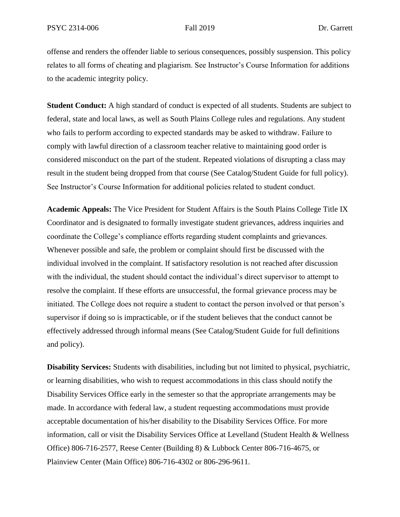offense and renders the offender liable to serious consequences, possibly suspension. This policy relates to all forms of cheating and plagiarism. See Instructor's Course Information for additions to the academic integrity policy.

**Student Conduct:** A high standard of conduct is expected of all students. Students are subject to federal, state and local laws, as well as South Plains College rules and regulations. Any student who fails to perform according to expected standards may be asked to withdraw. Failure to comply with lawful direction of a classroom teacher relative to maintaining good order is considered misconduct on the part of the student. Repeated violations of disrupting a class may result in the student being dropped from that course (See Catalog/Student Guide for full policy). See Instructor's Course Information for additional policies related to student conduct.

**Academic Appeals:** The Vice President for Student Affairs is the South Plains College Title IX Coordinator and is designated to formally investigate student grievances, address inquiries and coordinate the College's compliance efforts regarding student complaints and grievances. Whenever possible and safe, the problem or complaint should first be discussed with the individual involved in the complaint. If satisfactory resolution is not reached after discussion with the individual, the student should contact the individual's direct supervisor to attempt to resolve the complaint. If these efforts are unsuccessful, the formal grievance process may be initiated. The College does not require a student to contact the person involved or that person's supervisor if doing so is impracticable, or if the student believes that the conduct cannot be effectively addressed through informal means (See Catalog/Student Guide for full definitions and policy).

**Disability Services:** Students with disabilities, including but not limited to physical, psychiatric, or learning disabilities, who wish to request accommodations in this class should notify the Disability Services Office early in the semester so that the appropriate arrangements may be made. In accordance with federal law, a student requesting accommodations must provide acceptable documentation of his/her disability to the Disability Services Office. For more information, call or visit the Disability Services Office at Levelland (Student Health & Wellness Office) 806-716-2577, Reese Center (Building 8) & Lubbock Center 806-716-4675, or Plainview Center (Main Office) 806-716-4302 or 806-296-9611.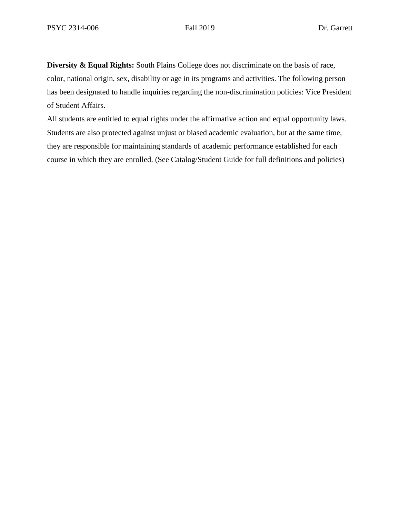**Diversity & Equal Rights:** South Plains College does not discriminate on the basis of race, color, national origin, sex, disability or age in its programs and activities. The following person has been designated to handle inquiries regarding the non-discrimination policies: Vice President of Student Affairs.

All students are entitled to equal rights under the affirmative action and equal opportunity laws. Students are also protected against unjust or biased academic evaluation, but at the same time, they are responsible for maintaining standards of academic performance established for each course in which they are enrolled. (See Catalog/Student Guide for full definitions and policies)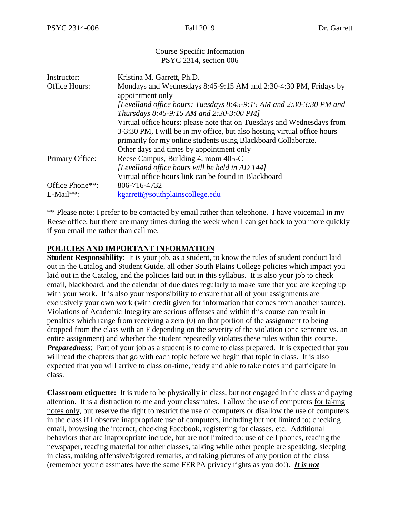#### Course Specific Information PSYC 2314, section 006

| Instructor:     | Kristina M. Garrett, Ph.D.                                               |
|-----------------|--------------------------------------------------------------------------|
| Office Hours:   | Mondays and Wednesdays 8:45-9:15 AM and 2:30-4:30 PM, Fridays by         |
|                 | appointment only                                                         |
|                 | [Levelland office hours: Tuesdays 8:45-9:15 AM and 2:30-3:30 PM and      |
|                 | Thursdays 8:45-9:15 AM and 2:30-3:00 PM]                                 |
|                 | Virtual office hours: please note that on Tuesdays and Wednesdays from   |
|                 | 3-3:30 PM, I will be in my office, but also hosting virtual office hours |
|                 | primarily for my online students using Blackboard Collaborate.           |
|                 | Other days and times by appointment only                                 |
| Primary Office: | Reese Campus, Building 4, room 405-C                                     |
|                 | [Levelland office hours will be held in AD 144]                          |
|                 | Virtual office hours link can be found in Blackboard                     |
| Office Phone**: | 806-716-4732                                                             |
| $E$ -Mail**:    | kgarrett@southplainscollege.edu                                          |

\*\* Please note: I prefer to be contacted by email rather than telephone. I have voicemail in my Reese office, but there are many times during the week when I can get back to you more quickly if you email me rather than call me.

### **POLICIES AND IMPORTANT INFORMATION**

**Student Responsibility:** It is your job, as a student, to know the rules of student conduct laid out in the Catalog and Student Guide, all other South Plains College policies which impact you laid out in the Catalog, and the policies laid out in this syllabus. It is also your job to check email, blackboard, and the calendar of due dates regularly to make sure that you are keeping up with your work. It is also your responsibility to ensure that all of your assignments are exclusively your own work (with credit given for information that comes from another source). Violations of Academic Integrity are serious offenses and within this course can result in penalties which range from receiving a zero (0) on that portion of the assignment to being dropped from the class with an F depending on the severity of the violation (one sentence vs. an entire assignment) and whether the student repeatedly violates these rules within this course. *Preparedness*: Part of your job as a student is to come to class prepared. It is expected that you will read the chapters that go with each topic before we begin that topic in class. It is also expected that you will arrive to class on-time, ready and able to take notes and participate in class.

**Classroom etiquette:** It is rude to be physically in class, but not engaged in the class and paying attention. It is a distraction to me and your classmates. I allow the use of computers for taking notes only, but reserve the right to restrict the use of computers or disallow the use of computers in the class if I observe inappropriate use of computers, including but not limited to: checking email, browsing the internet, checking Facebook, registering for classes, etc. Additional behaviors that are inappropriate include, but are not limited to: use of cell phones, reading the newspaper, reading material for other classes, talking while other people are speaking, sleeping in class, making offensive/bigoted remarks, and taking pictures of any portion of the class (remember your classmates have the same FERPA privacy rights as you do!). *It is not*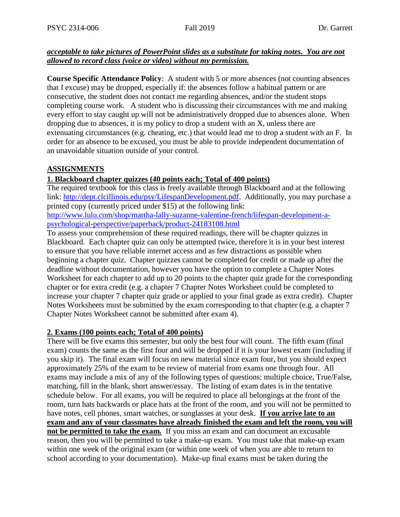### *acceptable to take pictures of PowerPoint slides as a substitute for taking notes. You are not allowed to record class (voice or video) without my permission.*

**Course Specific Attendance Policy**: A student with 5 or more absences (not counting absences that I excuse) may be dropped, especially if: the absences follow a habitual pattern or are consecutive, the student does not contact me regarding absences, and/or the student stops completing course work. A student who is discussing their circumstances with me and making every effort to stay caught up will not be administratively dropped due to absences alone. When dropping due to absences, it is my policy to drop a student with an X, unless there are extenuating circumstances (e.g. cheating, etc.) that would lead me to drop a student with an F. In order for an absence to be excused, you must be able to provide independent documentation of an unavoidable situation outside of your control.

# **ASSIGNMENTS**

### **1. Blackboard chapter quizzes (40 points each; Total of 400 points)**

The required textbook for this class is freely available through Blackboard and at the following link: [http://dept.clcillinois.edu/psy/LifespanDevelopment.pdf.](http://dept.clcillinois.edu/psy/LifespanDevelopment.pdf) Additionally, you may purchase a printed copy (currently priced under \$15) at the following link:

[http://www.lulu.com/shop/martha-lally-suzanne-valentine-french/lifespan-development-a](http://www.lulu.com/shop/martha-lally-suzanne-valentine-french/lifespan-development-a-psychological-perspective/paperback/product-24183108.html)[psychological-perspective/paperback/product-24183108.html](http://www.lulu.com/shop/martha-lally-suzanne-valentine-french/lifespan-development-a-psychological-perspective/paperback/product-24183108.html)

To assess your comprehension of these required readings, there will be chapter quizzes in Blackboard. Each chapter quiz can only be attempted twice, therefore it is in your best interest to ensure that you have reliable internet access and as few distractions as possible when beginning a chapter quiz. Chapter quizzes cannot be completed for credit or made up after the deadline without documentation, however you have the option to complete a Chapter Notes Worksheet for each chapter to add up to 20 points to the chapter quiz grade for the corresponding chapter or for extra credit (e.g. a chapter 7 Chapter Notes Worksheet could be completed to increase your chapter 7 chapter quiz grade or applied to your final grade as extra credit). Chapter Notes Worksheets must be submitted by the exam corresponding to that chapter (e.g. a chapter 7 Chapter Notes Worksheet cannot be submitted after exam 4).

## **2. Exams (100 points each; Total of 400 points)**

There will be five exams this semester, but only the best four will count. The fifth exam (final exam) counts the same as the first four and will be dropped if it is your lowest exam (including if you skip it). The final exam will focus on new material since exam four, but you should expect approximately 25% of the exam to be review of material from exams one through four. All exams may include a mix of any of the following types of questions: multiple choice, True/False, matching, fill in the blank, short answer/essay. The listing of exam dates is in the tentative schedule below. For all exams, you will be required to place all belongings at the front of the room, turn hats backwards or place hats at the front of the room, and you will not be permitted to have notes, cell phones, smart watches, or sunglasses at your desk. **If you arrive late to an exam and any of your classmates have already finished the exam and left the room, you will not be permitted to take the exam***.* If you miss an exam and can document an excusable reason, then you will be permitted to take a make-up exam. You must take that make-up exam within one week of the original exam (or within one week of when you are able to return to school according to your documentation). Make-up final exams must be taken during the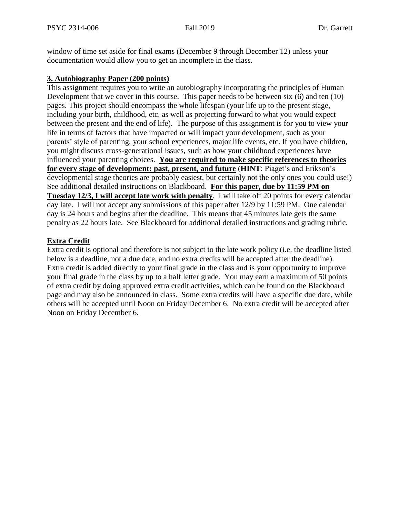window of time set aside for final exams (December 9 through December 12) unless your documentation would allow you to get an incomplete in the class.

# **3. Autobiography Paper (200 points)**

This assignment requires you to write an autobiography incorporating the principles of Human Development that we cover in this course. This paper needs to be between six (6) and ten (10) pages. This project should encompass the whole lifespan (your life up to the present stage, including your birth, childhood, etc. as well as projecting forward to what you would expect between the present and the end of life). The purpose of this assignment is for you to view your life in terms of factors that have impacted or will impact your development, such as your parents' style of parenting, your school experiences, major life events, etc. If you have children, you might discuss cross-generational issues, such as how your childhood experiences have influenced your parenting choices. **You are required to make specific references to theories for every stage of development: past, present, and future** (**HINT**: Piaget's and Erikson's developmental stage theories are probably easiest, but certainly not the only ones you could use!) See additional detailed instructions on Blackboard. **For this paper, due by 11:59 PM on Tuesday 12/3, I will accept late work with penalty**. I will take off 20 points for every calendar day late. I will not accept any submissions of this paper after 12/9 by 11:59 PM. One calendar day is 24 hours and begins after the deadline. This means that 45 minutes late gets the same penalty as 22 hours late. See Blackboard for additional detailed instructions and grading rubric.

### **Extra Credit**

Extra credit is optional and therefore is not subject to the late work policy (i.e. the deadline listed below is a deadline, not a due date, and no extra credits will be accepted after the deadline). Extra credit is added directly to your final grade in the class and is your opportunity to improve your final grade in the class by up to a half letter grade. You may earn a maximum of 50 points of extra credit by doing approved extra credit activities, which can be found on the Blackboard page and may also be announced in class. Some extra credits will have a specific due date, while others will be accepted until Noon on Friday December 6. No extra credit will be accepted after Noon on Friday December 6.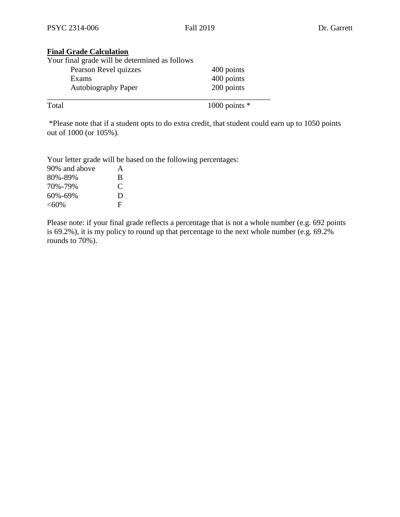# **Final Grade Calculation**

| Your final grade will be determined as follows |                 |
|------------------------------------------------|-----------------|
| Pearson Revel quizzes                          | 400 points      |
| Exams                                          | 400 points      |
| <b>Autobiography Paper</b>                     | 200 points      |
| Total                                          | 1000 points $*$ |

\*Please note that if a student opts to do extra credit, that student could earn up to 1050 points out of 1000 (or 105%).

Your letter grade will be based on the following percentages:

| 90% and above | A             |
|---------------|---------------|
| 80%-89%       | B             |
| 70%-79%       | $\mathcal{C}$ |
| 60%-69%       | D             |
| $<\!\!60\!\%$ | F             |

Please note: if your final grade reflects a percentage that is not a whole number (e.g. 692 points is 69.2%), it is my policy to round up that percentage to the next whole number (e.g.  $69.2\%$ ) rounds to 70%).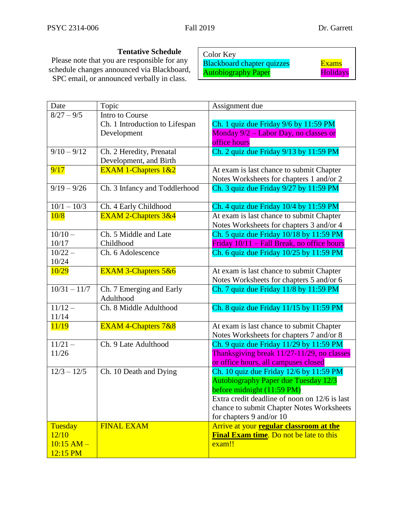**Tentative Schedule** Please note that you are responsible for any schedule changes announced via Blackboard, SPC email, or announced verbally in class.

Color Key Blackboard chapter quizzes Figure Exams Autobiography Paper **Holidays** 

| Date                | Topic                                 | Assignment due                                 |  |
|---------------------|---------------------------------------|------------------------------------------------|--|
| $\sqrt{8/27 - 9/5}$ | Intro to Course                       |                                                |  |
|                     | Ch. 1 Introduction to Lifespan        | Ch. 1 quiz due Friday 9/6 by 11:59 PM          |  |
|                     | Development                           | Monday 9/2 – Labor Day, no classes or          |  |
|                     |                                       | office hours                                   |  |
| $9/10 - 9/12$       | Ch. 2 Heredity, Prenatal              | Ch. 2 quiz due Friday 9/13 by 11:59 PM         |  |
|                     | Development, and Birth                |                                                |  |
| 9/17                | EXAM 1-Chapters $1&&2$                | At exam is last chance to submit Chapter       |  |
|                     |                                       | Notes Worksheets for chapters 1 and/or 2       |  |
| $9/19 - 9/26$       | Ch. 3 Infancy and Toddlerhood         | Ch. 3 quiz due Friday 9/27 by 11:59 PM         |  |
| $10/1 - 10/3$       | Ch. 4 Early Childhood                 | Ch. 4 quiz due Friday 10/4 by 11:59 PM         |  |
| 10/8                | <b>EXAM 2-Chapters 3&amp;4</b>        | At exam is last chance to submit Chapter       |  |
|                     |                                       | Notes Worksheets for chapters 3 and/or 4       |  |
| $10/10 -$           | Ch. 5 Middle and Late                 | Ch. 5 quiz due Friday 10/18 by 11:59 PM        |  |
| 10/17               | Childhood                             | Friday 10/11 – Fall Break, no office hours     |  |
| $10/22 -$           | Ch. 6 Adolescence                     | Ch. 6 quiz due Friday 10/25 by 11:59 PM        |  |
| 10/24               |                                       |                                                |  |
| 10/29               | EXAM 3-Chapters 5&6                   | At exam is last chance to submit Chapter       |  |
|                     |                                       | Notes Worksheets for chapters 5 and/or 6       |  |
| $10/31 - 11/7$      | Ch. 7 Emerging and Early<br>Adulthood | Ch. 7 quiz due Friday 11/8 by 11:59 PM         |  |
| $11/12 -$           | Ch. 8 Middle Adulthood                | Ch. 8 quiz due Friday 11/15 by 11:59 PM        |  |
| 11/14               |                                       |                                                |  |
| 11/19               | <b>EXAM 4-Chapters 7&amp;8</b>        | At exam is last chance to submit Chapter       |  |
|                     |                                       | Notes Worksheets for chapters 7 and/or 8       |  |
| $11/21 -$           | Ch. 9 Late Adulthood                  | Ch. 9 quiz due Friday 11/29 by 11:59 PM        |  |
| 11/26               |                                       | Thanksgiving break 11/27-11/29, no classes     |  |
|                     |                                       | or office hours, all campuses closed           |  |
| $12/3 - 12/5$       | Ch. 10 Death and Dying                | Ch. 10 quiz due Friday 12/6 by 11:59 PM        |  |
|                     |                                       | <b>Autobiography Paper due Tuesday 12/3</b>    |  |
|                     |                                       | before midnight (11:59 PM)                     |  |
|                     |                                       | Extra credit deadline of noon on 12/6 is last  |  |
|                     |                                       | chance to submit Chapter Notes Worksheets      |  |
|                     |                                       | for chapters 9 and/or 10                       |  |
| Tuesday             | <b>FINAL EXAM</b>                     | Arrive at your regular classroom at the        |  |
| 12/10               |                                       | <b>Final Exam time.</b> Do not be late to this |  |
| $10:15$ AM $-$      |                                       | exam!!                                         |  |
| 12:15 PM            |                                       |                                                |  |